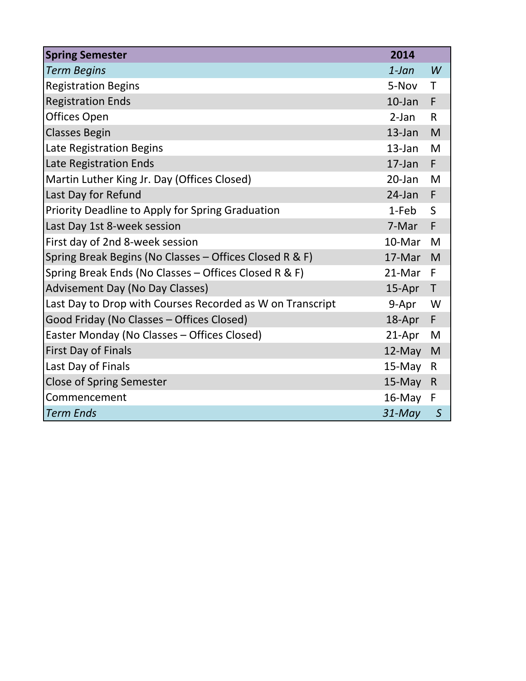| <b>Spring Semester</b>                                    | 2014      |              |
|-----------------------------------------------------------|-----------|--------------|
| <b>Term Begins</b>                                        | $1$ -Jan  | W            |
| <b>Registration Begins</b>                                | 5-Nov     | T            |
| <b>Registration Ends</b>                                  | $10$ -Jan | F            |
| Offices Open                                              | $2-Jan$   | $\mathsf{R}$ |
| <b>Classes Begin</b>                                      | 13-Jan    | M            |
| Late Registration Begins                                  | $13$ -Jan | M            |
| Late Registration Ends                                    | $17$ -Jan | F.           |
| Martin Luther King Jr. Day (Offices Closed)               | $20$ -Jan | M            |
| Last Day for Refund                                       | $24$ -Jan | F            |
| Priority Deadline to Apply for Spring Graduation          | 1-Feb     | $\mathsf{S}$ |
| Last Day 1st 8-week session                               | 7-Mar     | F            |
| First day of 2nd 8-week session                           | 10-Mar    | M            |
| Spring Break Begins (No Classes - Offices Closed R & F)   | 17-Mar    | M            |
| Spring Break Ends (No Classes - Offices Closed R & F)     | 21-Mar    | F            |
| <b>Advisement Day (No Day Classes)</b>                    | 15-Apr    | $\top$       |
| Last Day to Drop with Courses Recorded as W on Transcript | 9-Apr     | W            |
| Good Friday (No Classes - Offices Closed)                 | 18-Apr    | F            |
| Easter Monday (No Classes - Offices Closed)               | 21-Apr    | M            |
| First Day of Finals                                       | 12-May    | M            |
| Last Day of Finals                                        | $15$ -May | $\mathsf{R}$ |
| <b>Close of Spring Semester</b>                           | $15-May$  | $\mathsf{R}$ |
| Commencement                                              | $16$ -May | F            |
| <b>Term Ends</b>                                          | $31$ -May | $\mathsf S$  |